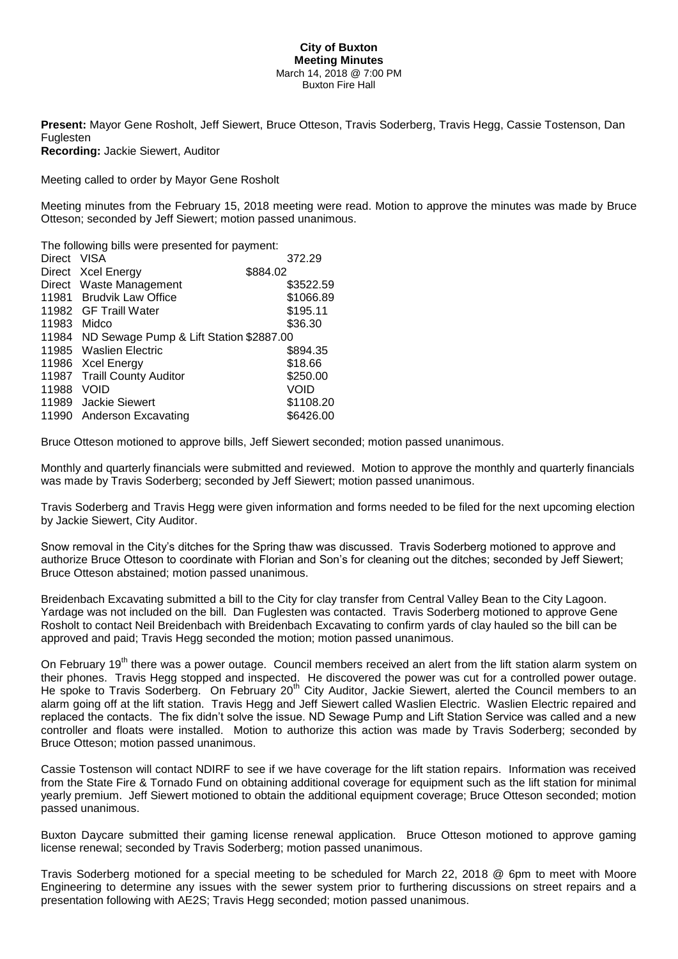## **City of Buxton Meeting Minutes** March 14, 2018 @ 7:00 PM Buxton Fire Hall

**Present:** Mayor Gene Rosholt, Jeff Siewert, Bruce Otteson, Travis Soderberg, Travis Hegg, Cassie Tostenson, Dan Fuglesten

**Recording:** Jackie Siewert, Auditor

Meeting called to order by Mayor Gene Rosholt

Meeting minutes from the February 15, 2018 meeting were read. Motion to approve the minutes was made by Bruce Otteson; seconded by Jeff Siewert; motion passed unanimous.

The following bills were presented for payment:

| Direct VISA                                   | 372.29    |
|-----------------------------------------------|-----------|
| Direct Xcel Energy                            | \$884.02  |
| Direct Waste Management                       | \$3522.59 |
| 11981 Brudvik Law Office                      | \$1066.89 |
| 11982 GF Traill Water                         | \$195.11  |
| Midco                                         | \$36.30   |
| 11984 ND Sewage Pump & Lift Station \$2887.00 |           |
| 11985 Waslien Electric                        | \$894.35  |
| 11986 Xcel Energy                             | \$18.66   |
| 11987 Traill County Auditor                   | \$250.00  |
| VOID                                          | VOID      |
| 11989 Jackie Siewert                          | \$1108.20 |
| 11990 Anderson Excavating                     | \$6426.00 |
|                                               |           |

Bruce Otteson motioned to approve bills, Jeff Siewert seconded; motion passed unanimous.

Monthly and quarterly financials were submitted and reviewed. Motion to approve the monthly and quarterly financials was made by Travis Soderberg; seconded by Jeff Siewert; motion passed unanimous.

Travis Soderberg and Travis Hegg were given information and forms needed to be filed for the next upcoming election by Jackie Siewert, City Auditor.

Snow removal in the City's ditches for the Spring thaw was discussed. Travis Soderberg motioned to approve and authorize Bruce Otteson to coordinate with Florian and Son's for cleaning out the ditches; seconded by Jeff Siewert; Bruce Otteson abstained; motion passed unanimous.

Breidenbach Excavating submitted a bill to the City for clay transfer from Central Valley Bean to the City Lagoon. Yardage was not included on the bill. Dan Fuglesten was contacted. Travis Soderberg motioned to approve Gene Rosholt to contact Neil Breidenbach with Breidenbach Excavating to confirm yards of clay hauled so the bill can be approved and paid; Travis Hegg seconded the motion; motion passed unanimous.

On February 19<sup>th</sup> there was a power outage. Council members received an alert from the lift station alarm system on their phones. Travis Hegg stopped and inspected. He discovered the power was cut for a controlled power outage. He spoke to Travis Soderberg. On February 20<sup>th</sup> City Auditor, Jackie Siewert, alerted the Council members to an alarm going off at the lift station. Travis Hegg and Jeff Siewert called Waslien Electric. Waslien Electric repaired and replaced the contacts. The fix didn't solve the issue. ND Sewage Pump and Lift Station Service was called and a new controller and floats were installed. Motion to authorize this action was made by Travis Soderberg; seconded by Bruce Otteson; motion passed unanimous.

Cassie Tostenson will contact NDIRF to see if we have coverage for the lift station repairs. Information was received from the State Fire & Tornado Fund on obtaining additional coverage for equipment such as the lift station for minimal yearly premium. Jeff Siewert motioned to obtain the additional equipment coverage; Bruce Otteson seconded; motion passed unanimous.

Buxton Daycare submitted their gaming license renewal application. Bruce Otteson motioned to approve gaming license renewal; seconded by Travis Soderberg; motion passed unanimous.

Travis Soderberg motioned for a special meeting to be scheduled for March 22, 2018 @ 6pm to meet with Moore Engineering to determine any issues with the sewer system prior to furthering discussions on street repairs and a presentation following with AE2S; Travis Hegg seconded; motion passed unanimous.